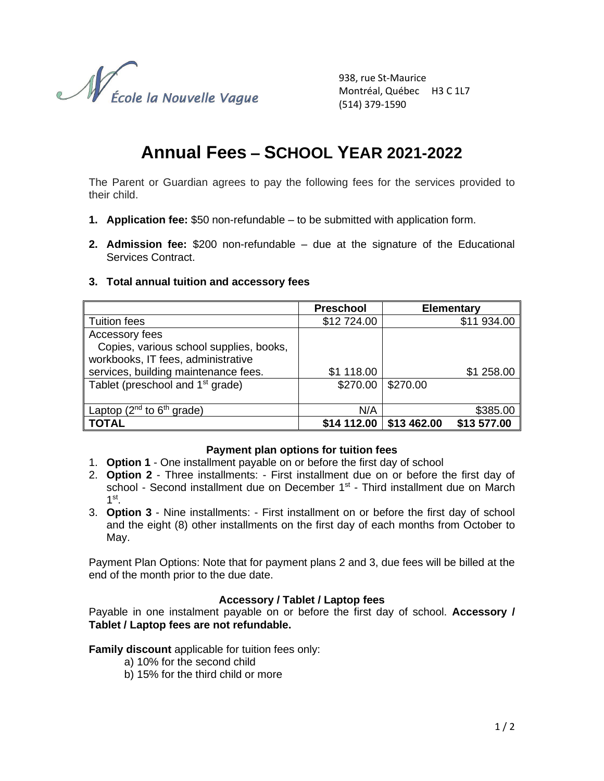

938, rue St-Maurice Montréal, Québec H3 C 1L7 (514) 379-1590

# **Annual Fees – SCHOOL YEAR 2021-2022**

The Parent or Guardian agrees to pay the following fees for the services provided to their child.

- **1. Application fee:** \$50 non-refundable to be submitted with application form.
- **2. Admission fee:** \$200 non-refundable due at the signature of the Educational Services Contract.

## **3. Total annual tuition and accessory fees**

|                                              | <b>Preschool</b> |             | <b>Elementary</b> |
|----------------------------------------------|------------------|-------------|-------------------|
| Tuition fees                                 | \$12 724.00      |             | \$11 934.00       |
| Accessory fees                               |                  |             |                   |
| Copies, various school supplies, books,      |                  |             |                   |
| workbooks, IT fees, administrative           |                  |             |                   |
| services, building maintenance fees.         | \$1 118.00       |             | \$1 258.00        |
| Tablet (preschool and 1 <sup>st</sup> grade) | \$270.00         | \$270.00    |                   |
|                                              |                  |             |                   |
| Laptop ( $2^{nd}$ to $6^{th}$ grade)         | N/A              |             | \$385.00          |
| <b>TOTAL</b>                                 | \$14 112.00      | \$13 462.00 | \$13 577.00       |

#### **Payment plan options for tuition fees**

- 1. **Option 1** One installment payable on or before the first day of school
- 2. **Option 2** Three installments: First installment due on or before the first day of school - Second installment due on December 1<sup>st</sup> - Third installment due on March 1 st .
- 3. **Option 3** Nine installments: First installment on or before the first day of school and the eight (8) other installments on the first day of each months from October to May.

Payment Plan Options: Note that for payment plans 2 and 3, due fees will be billed at the end of the month prior to the due date.

#### **Accessory / Tablet / Laptop fees**

Payable in one instalment payable on or before the first day of school. **Accessory / Tablet / Laptop fees are not refundable.**

**Family discount** applicable for tuition fees only:

- a) 10% for the second child
- b) 15% for the third child or more